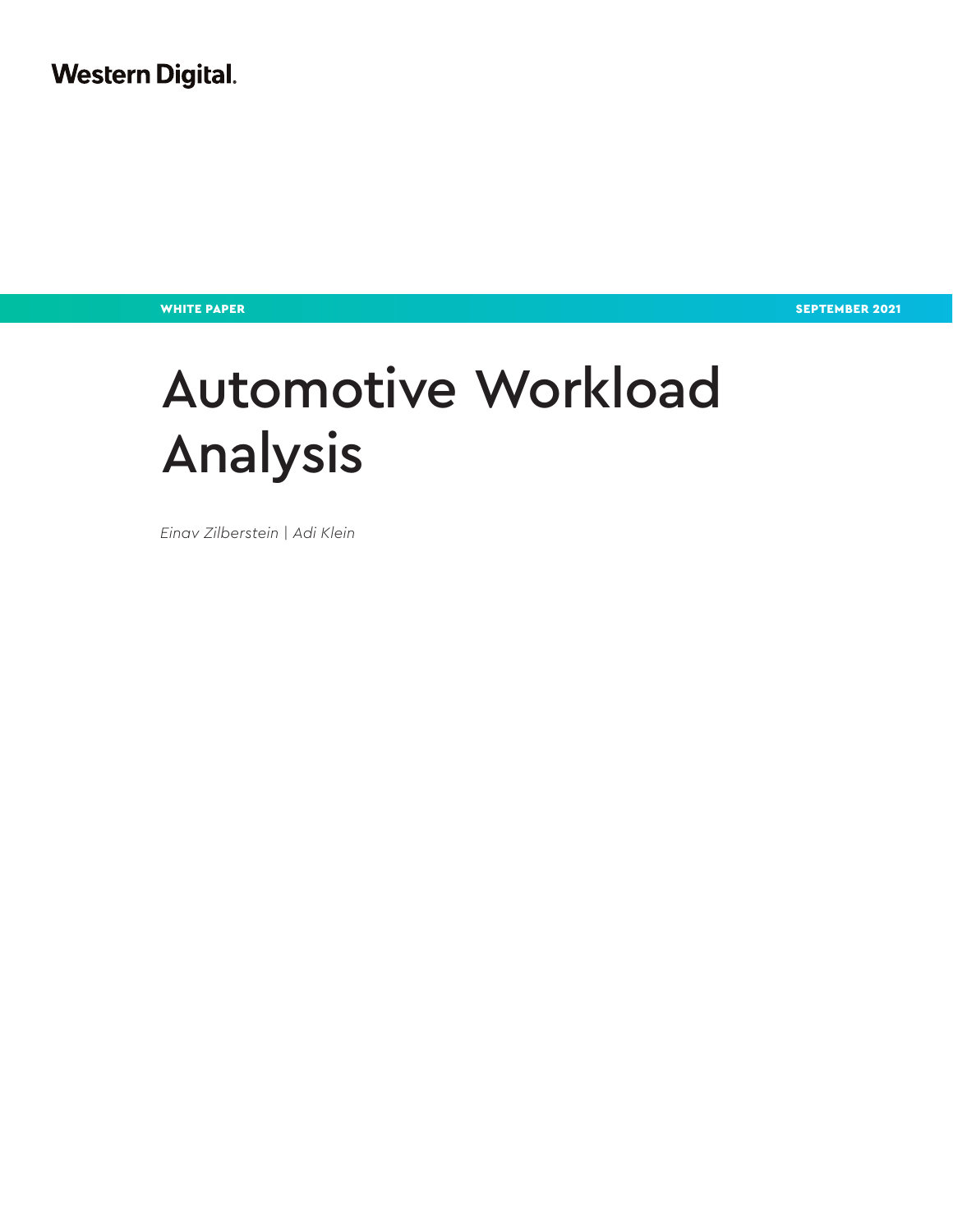**Western Digital.** 

WHITE PAPER SEPTEMBER 2021 NEWSFILM AND SEPTEMBER 2021

# Automotive Workload Analysis

*Einav Zilberstein | Adi Klein*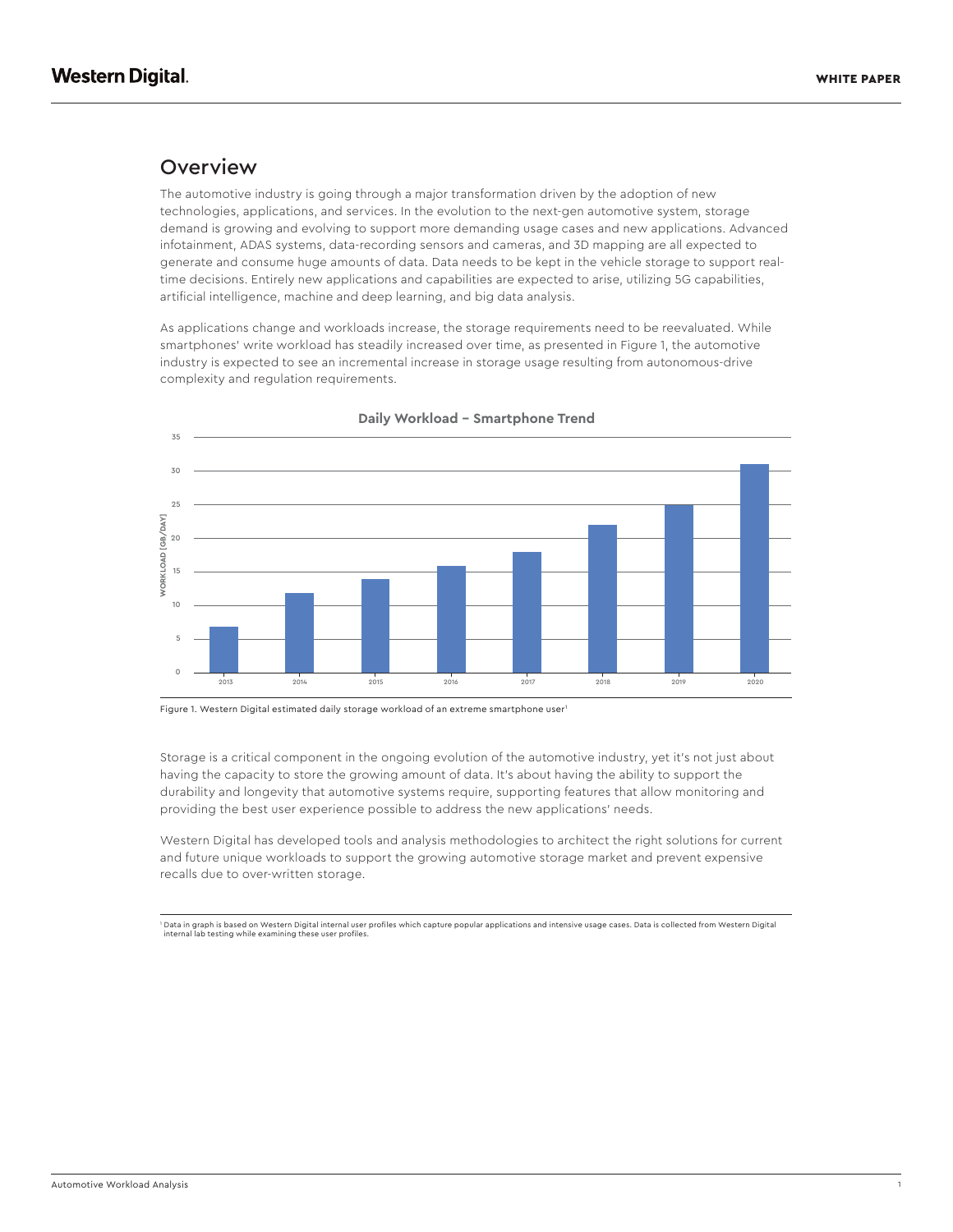#### **Overview**

The automotive industry is going through a major transformation driven by the adoption of new technologies, applications, and services. In the evolution to the next-gen automotive system, storage demand is growing and evolving to support more demanding usage cases and new applications. Advanced infotainment, ADAS systems, data-recording sensors and cameras, and 3D mapping are all expected to generate and consume huge amounts of data. Data needs to be kept in the vehicle storage to support realtime decisions. Entirely new applications and capabilities are expected to arise, utilizing 5G capabilities, artificial intelligence, machine and deep learning, and big data analysis.

As applications change and workloads increase, the storage requirements need to be reevaluated. While smartphones' write workload has steadily increased over time, as presented in Figure 1, the automotive industry is expected to see an incremental increase in storage usage resulting from autonomous-drive complexity and regulation requirements.



**Daily Workload – Smartphone Trend**

Figure 1. Western Digital estimated daily storage workload of an extreme smartphone user<sup>1</sup>

Storage is a critical component in the ongoing evolution of the automotive industry, yet it's not just about having the capacity to store the growing amount of data. It's about having the ability to support the durability and longevity that automotive systems require, supporting features that allow monitoring and providing the best user experience possible to address the new applications' needs.

Western Digital has developed tools and analysis methodologies to architect the right solutions for current and future unique workloads to support the growing automotive storage market and prevent expensive recalls due to over-written storage.

1 Data in graph is based on Western Digital internal user profiles which capture popular applications and intensive usage cases. Data is collected from Western Digital internal lab testing while examining these user profile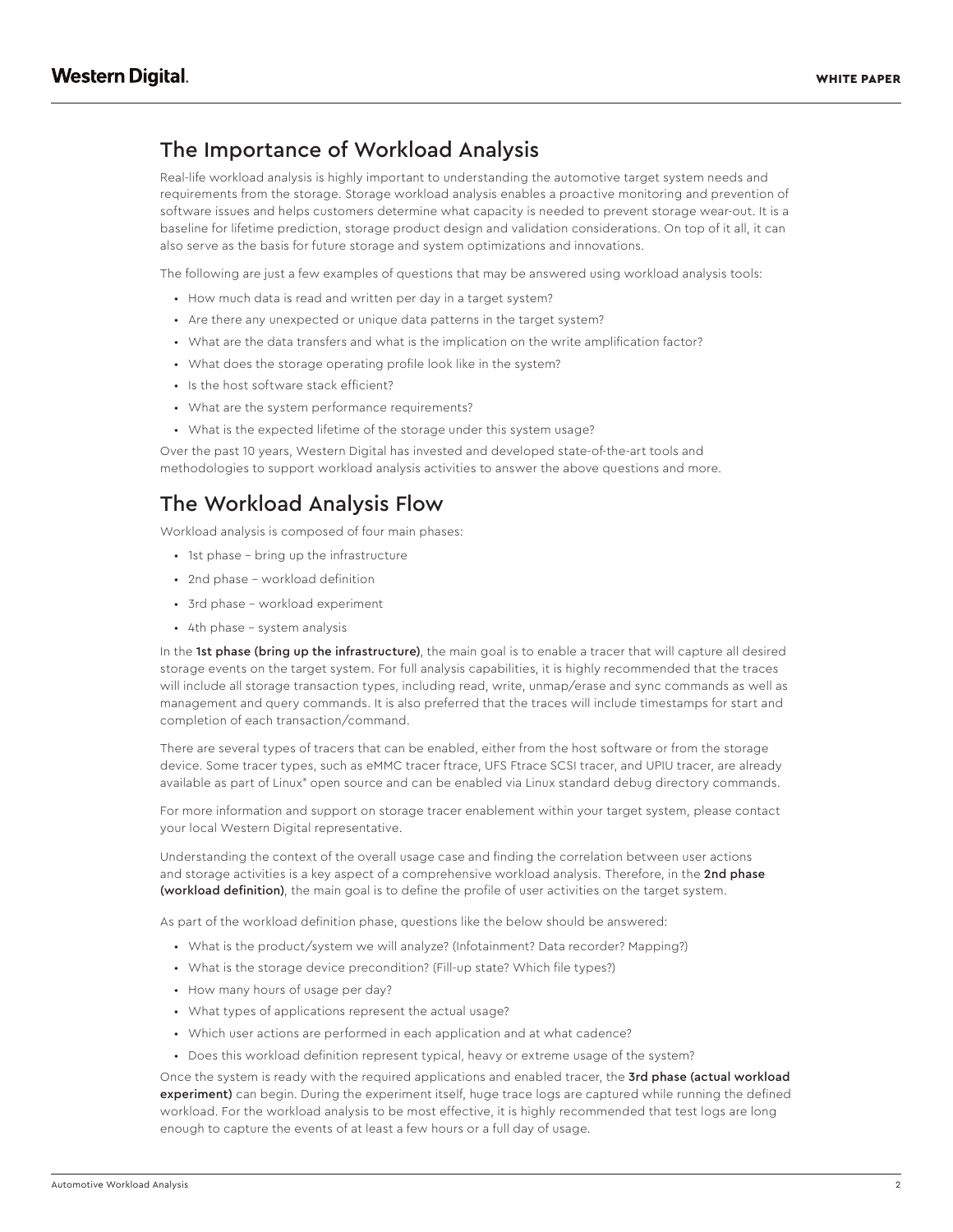# The Importance of Workload Analysis

Real-life workload analysis is highly important to understanding the automotive target system needs and requirements from the storage. Storage workload analysis enables a proactive monitoring and prevention of software issues and helps customers determine what capacity is needed to prevent storage wear-out. It is a baseline for lifetime prediction, storage product design and validation considerations. On top of it all, it can also serve as the basis for future storage and system optimizations and innovations.

The following are just a few examples of questions that may be answered using workload analysis tools:

- How much data is read and written per day in a target system?
- Are there any unexpected or unique data patterns in the target system?
- What are the data transfers and what is the implication on the write amplification factor?
- What does the storage operating profile look like in the system?
- Is the host software stack efficient?
- What are the system performance requirements?
- What is the expected lifetime of the storage under this system usage?

Over the past 10 years, Western Digital has invested and developed state-of-the-art tools and methodologies to support workload analysis activities to answer the above questions and more.

#### The Workload Analysis Flow

Workload analysis is composed of four main phases:

- 1st phase bring up the infrastructure
- 2nd phase workload definition
- 3rd phase workload experiment
- 4th phase system analysis

In the 1st phase (bring up the infrastructure), the main goal is to enable a tracer that will capture all desired storage events on the target system. For full analysis capabilities, it is highly recommended that the traces will include all storage transaction types, including read, write, unmap/erase and sync commands as well as management and query commands. It is also preferred that the traces will include timestamps for start and completion of each transaction/command.

There are several types of tracers that can be enabled, either from the host software or from the storage device. Some tracer types, such as eMMC tracer ftrace, UFS Ftrace SCSI tracer, and UPIU tracer, are already available as part of Linux® open source and can be enabled via Linux standard debug directory commands.

For more information and support on storage tracer enablement within your target system, please contact your local Western Digital representative.

Understanding the context of the overall usage case and finding the correlation between user actions and storage activities is a key aspect of a comprehensive workload analysis. Therefore, in the 2nd phase (workload definition), the main goal is to define the profile of user activities on the target system.

As part of the workload definition phase, questions like the below should be answered:

- What is the product/system we will analyze? (Infotainment? Data recorder? Mapping?)
- What is the storage device precondition? (Fill-up state? Which file types?)
- How many hours of usage per day?
- What types of applications represent the actual usage?
- Which user actions are performed in each application and at what cadence?
- Does this workload definition represent typical, heavy or extreme usage of the system?

Once the system is ready with the required applications and enabled tracer, the 3rd phase (actual workload experiment) can begin. During the experiment itself, huge trace logs are captured while running the defined workload. For the workload analysis to be most effective, it is highly recommended that test logs are long enough to capture the events of at least a few hours or a full day of usage.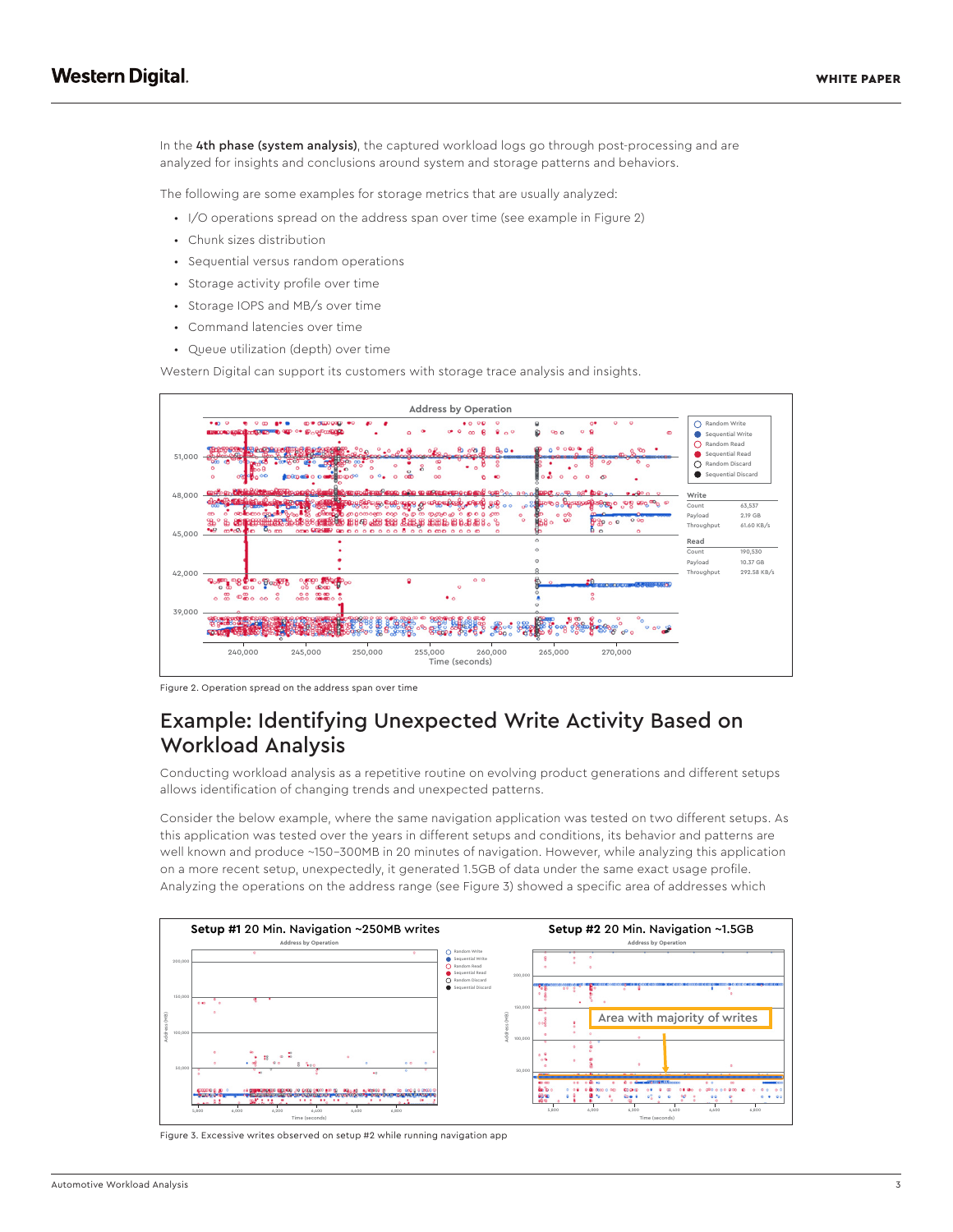In the 4th phase (system analysis), the captured workload logs go through post-processing and are analyzed for insights and conclusions around system and storage patterns and behaviors.

The following are some examples for storage metrics that are usually analyzed:

- I/O operations spread on the address span over time (see example in Figure 2)
- Chunk sizes distribution
- Sequential versus random operations
- Storage activity profile over time
- Storage IOPS and MB/s over time
- Command latencies over time
- Queue utilization (depth) over time

Western Digital can support its customers with storage trace analysis and insights.



Figure 2. Operation spread on the address span over time

## Example: Identifying Unexpected Write Activity Based on Workload Analysis

Conducting workload analysis as a repetitive routine on evolving product generations and different setups allows identification of changing trends and unexpected patterns.

Consider the below example, where the same navigation application was tested on two different setups. As this application was tested over the years in different setups and conditions, its behavior and patterns are well known and produce ~150-300MB in 20 minutes of navigation. However, while analyzing this application on a more recent setup, unexpectedly, it generated 1.5GB of data under the same exact usage profile. Analyzing the operations on the address range (see Figure 3) showed a specific area of addresses which



Figure 3. Excessive writes observed on setup #2 while running navigation app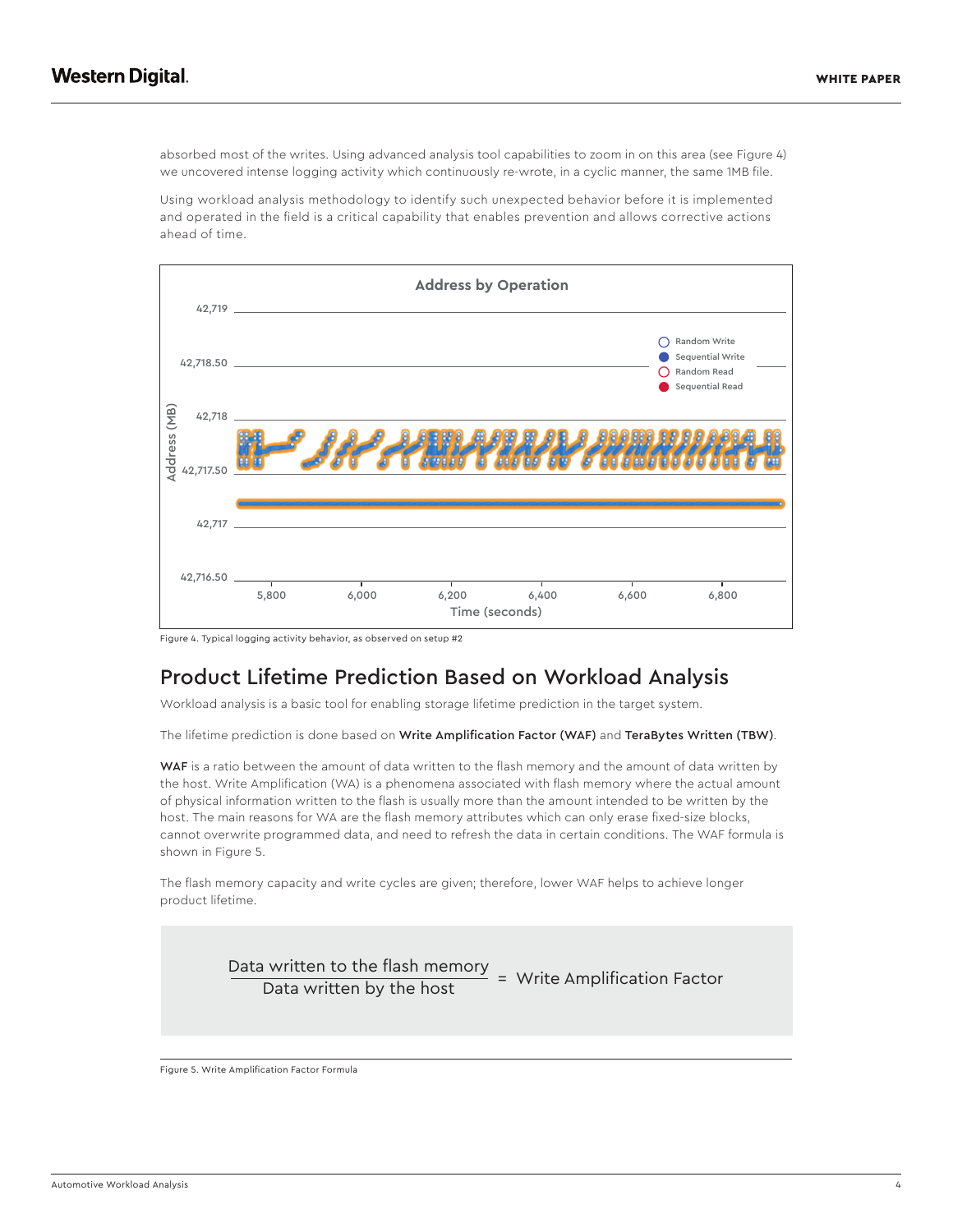absorbed most of the writes. Using advanced analysis tool capabilities to zoom in on this area (see Figure 4) we uncovered intense logging activity which continuously re-wrote, in a cyclic manner, the same 1MB file.

Using workload analysis methodology to identify such unexpected behavior before it is implemented and operated in the field is a critical capability that enables prevention and allows corrective actions ahead of time.



Figure 4. Typical logging activity behavior, as observed on setup #2

## Product Lifetime Prediction Based on Workload Analysis

Workload analysis is a basic tool for enabling storage lifetime prediction in the target system.

The lifetime prediction is done based on Write Amplification Factor (WAF) and TeraBytes Written (TBW).

WAF is a ratio between the amount of data written to the flash memory and the amount of data written by the host. Write Amplification (WA) is a phenomena associated with flash memory where the actual amount of physical information written to the flash is usually more than the amount intended to be written by the host. The main reasons for WA are the flash memory attributes which can only erase fixed-size blocks, cannot overwrite programmed data, and need to refresh the data in certain conditions. The WAF formula is shown in Figure 5.

The flash memory capacity and write cycles are given; therefore, lower WAF helps to achieve longer product lifetime.



Figure 5. Write Amplification Factor Formula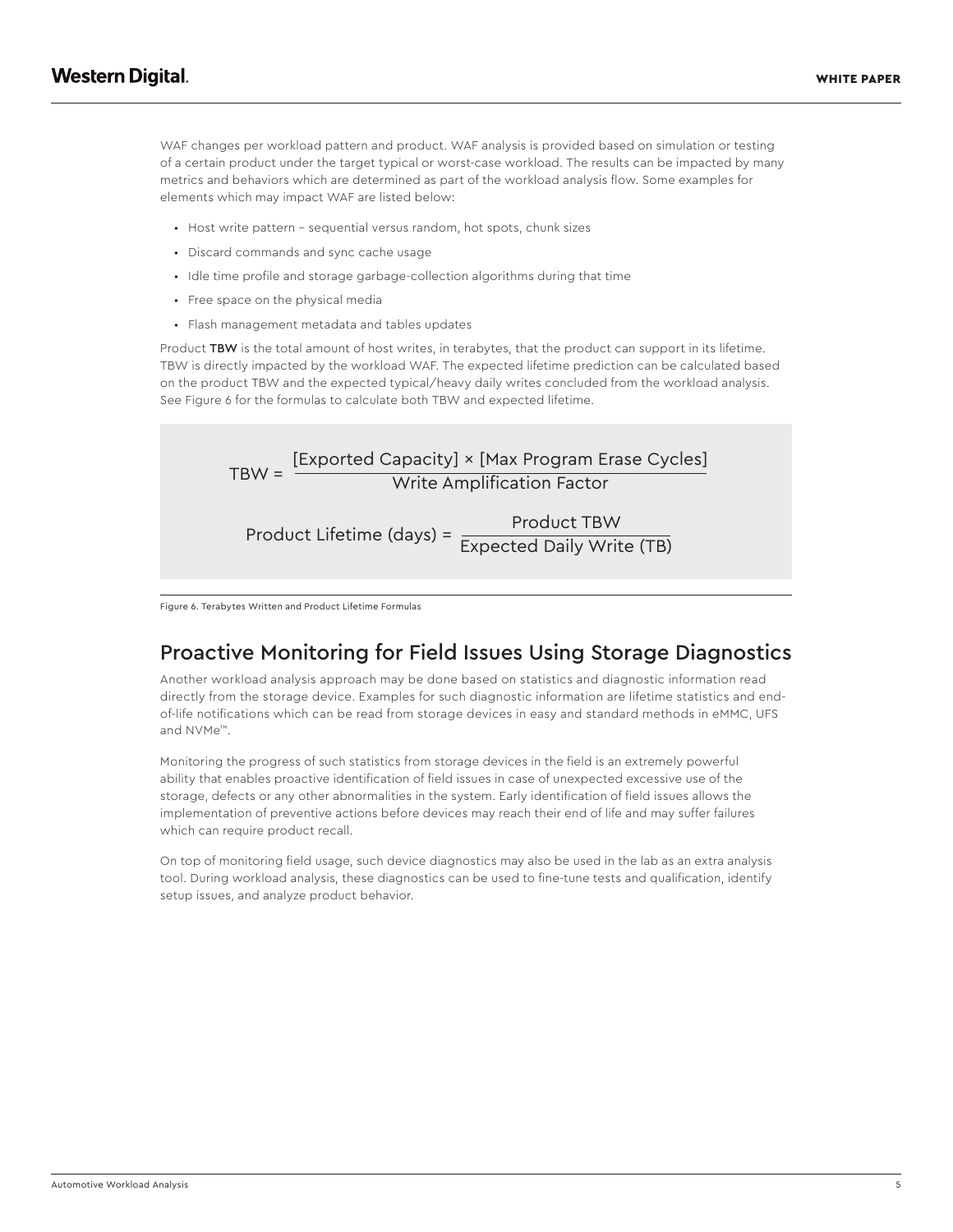WAF changes per workload pattern and product. WAF analysis is provided based on simulation or testing of a certain product under the target typical or worst-case workload. The results can be impacted by many metrics and behaviors which are determined as part of the workload analysis flow. Some examples for elements which may impact WAF are listed below:

- Host write pattern sequential versus random, hot spots, chunk sizes
- Discard commands and sync cache usage
- Idle time profile and storage garbage-collection algorithms during that time
- Free space on the physical media
- Flash management metadata and tables updates

Product TBW is the total amount of host writes, in terabytes, that the product can support in its lifetime. TBW is directly impacted by the workload WAF. The expected lifetime prediction can be calculated based on the product TBW and the expected typical/heavy daily writes concluded from the workload analysis. See Figure 6 for the formulas to calculate both TBW and expected lifetime.



Figure 6. Terabytes Written and Product Lifetime Formulas

## Proactive Monitoring for Field Issues Using Storage Diagnostics

Another workload analysis approach may be done based on statistics and diagnostic information read directly from the storage device. Examples for such diagnostic information are lifetime statistics and endof-life notifications which can be read from storage devices in easy and standard methods in eMMC, UFS and NVMe™.

Monitoring the progress of such statistics from storage devices in the field is an extremely powerful ability that enables proactive identification of field issues in case of unexpected excessive use of the storage, defects or any other abnormalities in the system. Early identification of field issues allows the implementation of preventive actions before devices may reach their end of life and may suffer failures which can require product recall.

On top of monitoring field usage, such device diagnostics may also be used in the lab as an extra analysis tool. During workload analysis, these diagnostics can be used to fine-tune tests and qualification, identify setup issues, and analyze product behavior.